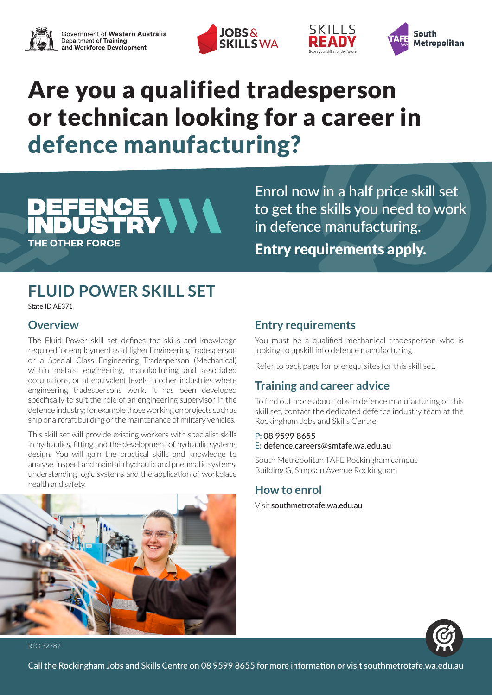





# Are you a qualified tradesperson or technican looking for a career in defence manufacturing?

## **FLUID POWER SKILL SET**

CE VVV

State ID AE371

**THE OTHER FORCE** 

## **Overview**

The Fluid Power skill set defines the skills and knowledge required for employment as a Higher Engineering Tradesperson or a Special Class Engineering Tradesperson (Mechanical) within metals, engineering, manufacturing and associated occupations, or at equivalent levels in other industries where engineering tradespersons work. It has been developed specifically to suit the role of an engineering supervisor in the defence industry; for example those working on projects such as ship or aircraft building or the maintenance of military vehicles.

This skill set will provide existing workers with specialist skills in hydraulics, fitting and the development of hydraulic systems design. You will gain the practical skills and knowledge to analyse, inspect and maintain hydraulic and pneumatic systems, understanding logic systems and the application of workplace health and safety.



## **Entry requirements**

You must be a qualified mechanical tradesperson who is looking to upskill into defence manufacturing.

Enrol now in a half price skill set

in defence manufacturing.

SKILLS

ЕАП

Entry requirements apply.

to get the skills you need to work

Refer to back page for prerequisites for this skill set.

## **Training and career advice**

To find out more about jobs in defence manufacturing or this skill set, contact the dedicated defence industry team at the Rockingham Jobs and Skills Centre.

### **P:** 08 9599 8655 **E:** defence.careers@smtafe.wa.edu.au

South Metropolitan TAFE Rockingham campus Building G, Simpson Avenue Rockingham

## **How to enrol**

Visit southmetrotafe.wa.edu.au



RTO 52787